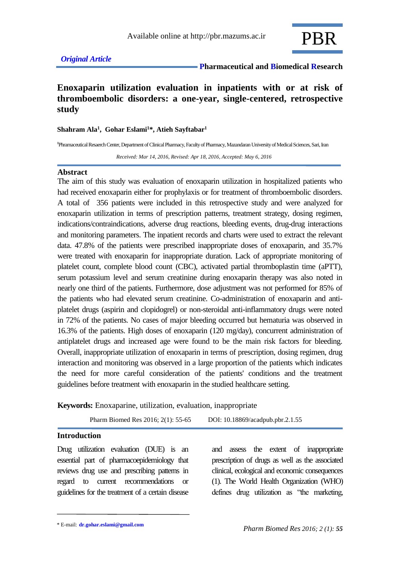

### *Original Article*

 **Pharmaceutical and Biomedical Research**

# **Enoxaparin utilization evaluation in inpatients with or at risk of thromboembolic disorders: a one-year, single-centered, retrospective study**

#### **Shahram Ala<sup>1</sup> , Gohar Eslami<sup>1</sup>\*, Atieh Sayftabar<sup>1</sup>**

**<sup>1</sup>**Phramaceutical Resaerch Center, Department of Clinical Pharmacy, Faculty of Pharmacy, Mazandaran University of Medical Sciences, Sari, Iran

 *Received: Mar 14, 2016, Revised: Apr 18, 2016, Accepted: May 6, 2016*

#### **Abstract**

The aim of this study was evaluation of enoxaparin utilization in hospitalized patients who had received enoxaparin either for prophylaxis or for treatment of thromboembolic disorders. A total of 356 patients were included in this retrospective study and were analyzed for enoxaparin utilization in terms of prescription patterns, treatment strategy, dosing regimen, indications/contraindications, adverse drug reactions, bleeding events, drug-drug interactions and monitoring parameters. The inpatient records and charts were used to extract the relevant data. 47.8% of the patients were prescribed inappropriate doses of enoxaparin, and 35.7% were treated with enoxaparin for inappropriate duration. Lack of appropriate monitoring of platelet count, complete blood count (CBC), activated partial thromboplastin time (aPTT), serum potassium level and serum creatinine during enoxaparin therapy was also noted in nearly one third of the patients. Furthermore, dose adjustment was not performed for 85% of the patients who had elevated serum creatinine. Co-administration of enoxaparin and antiplatelet drugs (aspirin and clopidogrel) or non-steroidal anti-inflammatory drugs were noted in 72% of the patients. No cases of major bleeding occurred but hematuria was observed in 16.3% of the patients. High doses of enoxaparin (120 mg/day), concurrent administration of antiplatelet drugs and increased age were found to be the main risk factors for bleeding. Overall, inappropriate utilization of enoxaparin in terms of prescription, dosing regimen, drug interaction and monitoring was observed in a large proportion of the patients which indicates the need for more careful consideration of the patients' conditions and the treatment guidelines before treatment with enoxaparin in the studied healthcare setting.

**Keywords:** Enoxaparine, utilization, evaluation, inappropriate

Pharm Biomed Res 2016; 2(1): 55-65 DOI: 10.18869/acadpub.pbr.2.1.55

### **Introduction**

Drug utilization evaluation (DUE) is an essential part of pharmacoepidemiology that reviews drug use and prescribing patterns in regard to current recommendations or guidelines for the treatment of a certain disease and assess the extent of inappropriate prescription of drugs as well as the associated clinical, ecological and economic consequences (1). The World Health Organization (WHO) defines drug utilization as "the marketing,

<sup>\*</sup> E-mail: **[dr.gohar.eslami@gmail.com](mailto:dr.gohar.eslami@gmail.com)**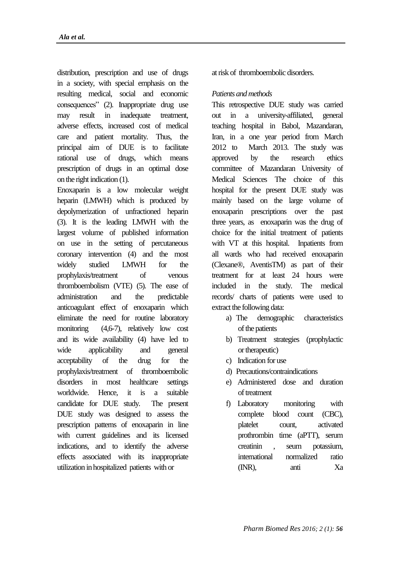distribution, prescription and use of drugs in a society, with special emphasis on the resulting medical, social and economic consequences" (2). Inappropriate drug use may result in inadequate treatment, adverse effects, increased cost of medical care and patient mortality. Thus, the principal aim of DUE is to facilitate rational use of drugs, which means prescription of drugs in an optimal dose on the right indication (1).

Enoxaparin is a low molecular weight heparin (LMWH) which is produced by depolymerization of unfractioned heparin (3). It is the leading LMWH with the largest volume of published information on use in the setting of percutaneous coronary intervention (4) and the most widely studied LMWH for the prophylaxis/treatment of venous thromboembolism (VTE) (5). The ease of administration and the predictable anticoagulant effect of enoxaparin which eliminate the need for routine laboratory monitoring (4,6-7), relatively low cost and its wide availability (4) have led to wide applicability and general acceptability of the drug for the prophylaxis/treatment of thromboembolic disorders in most healthcare settings worldwide. Hence, it is a suitable candidate for DUE study. The present DUE study was designed to assess the prescription patterns of enoxaparin in line with current guidelines and its licensed indications, and to identify the adverse effects associated with its inappropriate utilization in hospitalized patients with or

at risk of thromboembolic disorders.

### *Patients and methods*

This retrospective DUE study was carried out in a university-affiliated, general teaching hospital in Babol, Mazandaran, Iran, in a one year period from March 2012 to March 2013. The study was approved by the research ethics committee of Mazandaran University of Medical Sciences The choice of this hospital for the present DUE study was mainly based on the large volume of enoxaparin prescriptions over the past three years, as enoxaparin was the drug of choice for the initial treatment of patients with VT at this hospital. Inpatients from all wards who had received enoxaparin (Clexane®, AventisTM) as part of their treatment for at least 24 hours were included in the study. The medical records/ charts of patients were used to extract the following data:

- a) The demographic characteristics of the patients
- b) Treatment strategies (prophylactic or therapeutic)
- c) Indication for use
- d) Precautions/contraindications
- e) Administered dose and duration of treatment
- f) Laboratory monitoring with complete blood count (CBC), platelet count, activated prothrombin time (aPTT), serum creatinin , seum potassium, international normalized ratio (INR), anti Xa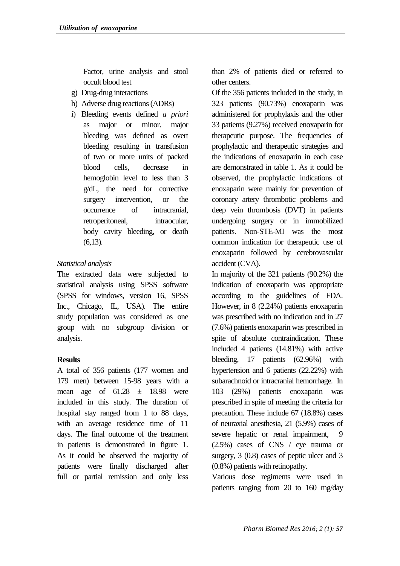Factor, urine analysis and stool occult blood test

- g) Drug-drug interactions
- h) Adverse drug reactions (ADRs)
- i) Bleeding events defined *a priori*  as major or minor. major bleeding was defined as overt bleeding resulting in transfusion of two or more units of packed blood cells, decrease in hemoglobin level to less than 3 g/dL, the need for corrective surgery intervention, or the occurrence of intracranial, retroperitoneal, intraocular, body cavity bleeding, or death (6,13).

## *Statistical analysis*

The extracted data were subjected to statistical analysis using SPSS software (SPSS for windows, version 16, SPSS Inc., Chicago, IL, USA). The entire study population was considered as one group with no subgroup division or analysis.

## **Results**

A total of 356 patients (177 women and 179 men) between 15-98 years with a mean age of  $61.28 \pm 18.98$  were included in this study. The duration of hospital stay ranged from 1 to 88 days, with an average residence time of 11 days. The final outcome of the treatment in patients is demonstrated in figure 1. As it could be observed the majority of patients were finally discharged after full or partial remission and only less than 2% of patients died or referred to other centers.

Of the 356 patients included in the study, in 323 patients (90.73%) enoxaparin was administered for prophylaxis and the other 33 patients (9.27%) received enoxaparin for therapeutic purpose. The frequencies of prophylactic and therapeutic strategies and the indications of enoxaparin in each case are demonstrated in table 1. As it could be observed, the prophylactic indications of enoxaparin were mainly for prevention of coronary artery thrombotic problems and deep vein thrombosis (DVT) in patients undergoing surgery or in immobilized patients. Non-STE-MI was the most common indication for therapeutic use of enoxaparin followed by cerebrovascular accident (CVA).

In majority of the 321 patients (90.2%) the indication of enoxaparin was appropriate according to the guidelines of FDA. However, in 8 (2.24%) patients enoxaparin was prescribed with no indication and in 27 (7.6%) patients enoxaparin was prescribed in spite of absolute contraindication. These included 4 patients (14.81%) with active bleeding, 17 patients (62.96%) with hypertension and 6 patients (22.22%) with subarachnoid or intracranial hemorrhage. In 103 (29%) patients enoxaparin was prescribed in spite of meeting the criteria for precaution. These include 67 (18.8%) cases of neuraxial anesthesia, 21 (5.9%) cases of severe hepatic or renal impairment, 9 (2.5%) cases of CNS / eye trauma or surgery, 3  $(0.8)$  cases of peptic ulcer and 3 (0.8%) patients with retinopathy.

Various dose regiments were used in patients ranging from 20 to 160 mg/day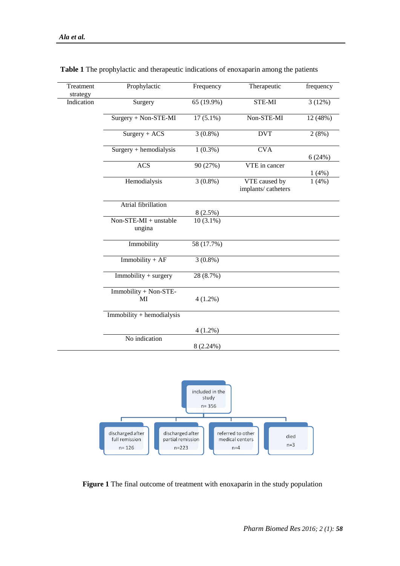| Treatment<br>strategy | Prophylactic                    | Frequency   | Therapeutic                         | frequency |
|-----------------------|---------------------------------|-------------|-------------------------------------|-----------|
| Indication            | Surgery                         | 65 (19.9%)  | STE-MI                              | 3(12%)    |
|                       | Surgery + Non-STE-MI            | $17(5.1\%)$ | Non-STE-MI                          | 12 (48%)  |
|                       | $Surgery + ACS$                 | $3(0.8\%)$  | <b>DVT</b>                          | 2(8%)     |
|                       | $Surgery + hemodialysis$        | $1(0.3\%)$  | <b>CVA</b>                          | 6(24%)    |
|                       | <b>ACS</b>                      | 90 (27%)    | VTE in cancer                       | 1(4%)     |
|                       | Hemodialysis                    | $3(0.8\%)$  | VTE caused by<br>implants/catheters | 1(4%)     |
|                       | Atrial fibrillation             | 8(2.5%)     |                                     |           |
|                       | Non-STE-MI + unstable<br>ungina | $10(3.1\%)$ |                                     |           |
|                       | Immobility                      | 58 (17.7%)  |                                     |           |
|                       | $Immobility + AF$               | $3(0.8\%)$  |                                     |           |
|                       | Immobility + surgery            | 28 (8.7%)   |                                     |           |
|                       | Immobility + Non-STE-<br>MI     | $4(1.2\%)$  |                                     |           |
|                       | $Immobility + hemodialysis$     |             |                                     |           |
|                       |                                 | $4(1.2\%)$  |                                     |           |
|                       | No indication                   | $8(2.24\%)$ |                                     |           |
|                       |                                 |             |                                     |           |

**Table 1** The prophylactic and therapeutic indications of enoxaparin among the patients



**Figure 1** The final outcome of treatment with enoxaparin in the study population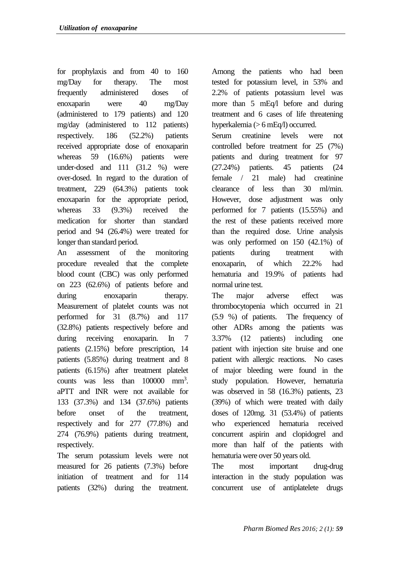for prophylaxis and from 40 to 160 mg/Day for therapy. The most frequently administered doses of enoxaparin were 40 mg/Day (administered to 179 patients) and 120 mg/day (administered to 112 patients) respectively. 186 (52.2%) patients received appropriate dose of enoxaparin whereas 59 (16.6%) patients were under-dosed and 111 (31.2 %) were over-dosed. In regard to the duration of treatment, 229 (64.3%) patients took enoxaparin for the appropriate period, whereas 33 (9.3%) received the medication for shorter than standard period and 94 (26.4%) were treated for longer than standard period.

An assessment of the monitoring procedure revealed that the complete blood count (CBC) was only performed on 223 (62.6%) of patients before and during enoxaparin therapy. Measurement of platelet counts was not performed for 31 (8.7%) and 117 (32.8%) patients respectively before and during receiving enoxaparin. In 7 patients (2.15%) before prescription, 14 patients (5.85%) during treatment and 8 patients (6.15%) after treatment platelet counts was less than 100000 mm<sup>3</sup>. aPTT and INR were not available for 133 (37.3%) and 134 (37.6%) patients before onset of the treatment, respectively and for 277 (77.8%) and 274 (76.9%) patients during treatment, respectively.

The serum potassium levels were not measured for 26 patients (7.3%) before initiation of treatment and for 114 patients (32%) during the treatment.

Among the patients who had been tested for potassium level, in 53% and 2.2% of patients potassium level was more than 5 mEq/l before and during treatment and 6 cases of life threatening hyperkalemia (> 6 mEq/l) occurred.

Serum creatinine levels were not controlled before treatment for 25 (7%) patients and during treatment for 97 (27.24%) patients. 45 patients (24 female / 21 male) had creatinine clearance of less than 30 ml/min. However, dose adjustment was only performed for 7 patients (15.55%) and the rest of these patients received more than the required dose. Urine analysis was only performed on 150 (42.1%) of patients during treatment with enoxaparin, of which 22.2% had hematuria and 19.9% of patients had normal urine test.

The major adverse effect was thrombocytopenia which occurred in 21 (5.9 %) of patients. The frequency of other ADRs among the patients was 3.37% (12 patients) including one patient with injection site bruise and one patient with allergic reactions. No cases of major bleeding were found in the study population. However, hematuria was observed in 58 (16.3%) patients, 23 (39%) of which were treated with daily doses of 120mg. 31 (53.4%) of patients who experienced hematuria received concurrent aspirin and clopidogrel and more than half of the patients with hematuria were over 50 years old.

The most important drug-drug interaction in the study population was concurrent use of antiplatelete drugs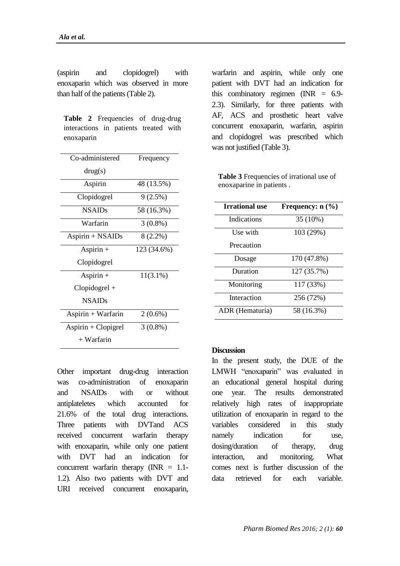(aspirin and clopidogrel) with enoxaparin which was observed in more than half of the patients (Table 2).

**Table 2** Frequencies of drug-drug interactions in patients treated with enoxaparin

| Co-administered     | Frequency   |  |
|---------------------|-------------|--|
| drug(s)             |             |  |
| Aspirin             | 48 (13.5%)  |  |
| Clopidogrel         | 9(2.5%)     |  |
| <b>NSAIDs</b>       | 58 (16.3%)  |  |
| Warfarin            | $3(0.8\%)$  |  |
| Aspirin + NSAIDs    | $8(2.2\%)$  |  |
| Aspirin $+$         | 123 (34.6%) |  |
| Clopidogrel         |             |  |
| Aspirin $+$         | $11(3.1\%)$ |  |
| $Clopidogrel +$     |             |  |
| <b>NSAIDs</b>       |             |  |
| Aspirin + Warfarin  | $2(0.6\%)$  |  |
| Aspirin + Clopigrel | $3(0.8\%)$  |  |
| + Warfarin          |             |  |

Other important drug-drug interaction was co-administration of enoxaparin and NSAIDs with or without antiplateletes which accounted for 21.6% of the total drug interactions. Three patients with DVTand ACS received concurrent warfarin therapy with enoxaparin, while only one patient with DVT had an indication for concurrent warfarin therapy  $(NR = 1.1$ -1.2). Also two patients with DVT and URI received concurrent enoxaparin, warfarin and aspirin, while only one patient with DVT had an indication for this combinatory regimen  $(NR = 6.9$ -2.3). Similarly, for three patients with AF, ACS and prosthetic heart valve concurrent enoxaparin, warfarin, aspirin and clopidogrel was prescribed which was not justified (Table 3).

**Table 3** Frequencies of irrational use of enoxaparine in patients .

| <b>Irrational use</b> | Frequency: $n$ (%) |
|-----------------------|--------------------|
| Indications           | 35 (10%)           |
| Use with              | 103 (29%)          |
| Precaution            |                    |
| Dosage                | 170 (47.8%)        |
| Duration              | 127 (35.7%)        |
| Monitoring            | 117 (33%)          |
| Interaction           | 256 (72%)          |
| ADR (Hematuria)       | 58 (16.3%)         |

#### **Discussion**

In the present study, the DUE of the LMWH "enoxaparin" was evaluated in an educational general hospital during one year. The results demonstrated relatively high rates of inappropriate utilization of enoxaparin in regard to the variables considered in this study namely indication for use, dosing/duration of therapy, drug interaction, and monitoring. What comes next is further discussion of the data retrieved for each variable.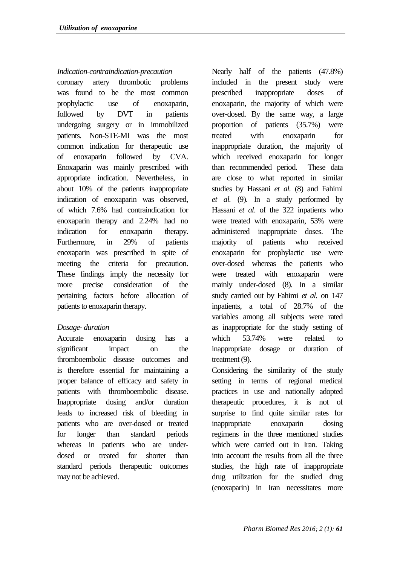### *Indication-contraindication-precaution*

coronary artery thrombotic problems was found to be the most common prophylactic use of enoxaparin, followed by DVT in patients undergoing surgery or in immobilized patients. Non-STE-MI was the most common indication for therapeutic use of enoxaparin followed by CVA. Enoxaparin was mainly prescribed with appropriate indication. Nevertheless, in about 10% of the patients inappropriate indication of enoxaparin was observed, of which 7.6% had contraindication for enoxaparin therapy and 2.24% had no indication for enoxaparin therapy. Furthermore, in 29% of patients enoxaparin was prescribed in spite of meeting the criteria for precaution. These findings imply the necessity for more precise consideration of the pertaining factors before allocation of patients to enoxaparin therapy.

### *Dosage- duration*

Accurate enoxaparin dosing has a significant impact on the thromboembolic disease outcomes and is therefore essential for maintaining a proper balance of efficacy and safety in patients with thromboembolic disease. Inappropriate dosing and/or duration leads to increased risk of bleeding in patients who are over-dosed or treated for longer than standard periods whereas in patients who are underdosed or treated for shorter than standard periods therapeutic outcomes may not be achieved.

Nearly half of the patients (47.8%) included in the present study were prescribed inappropriate doses of enoxaparin, the majority of which were over-dosed. By the same way, a large proportion of patients (35.7%) were treated with enoxaparin for inappropriate duration, the majority of which received enoxaparin for longer than recommended period. These data are close to what reported in similar studies by Hassani *et al.* (8) and Fahimi *et al.* (9). In a study performed by Hassani *et al*. of the 322 inpatients who were treated with enoxaparin, 53% were administered inappropriate doses. The majority of patients who received enoxaparin for prophylactic use were over-dosed whereas the patients who were treated with enoxaparin were mainly under-dosed (8). In a similar study carried out by Fahimi *et al.* on 147 inpatients, a total of 28.7% of the variables among all subjects were rated as inappropriate for the study setting of which 53.74% were related to inappropriate dosage or duration of treatment (9).

Considering the similarity of the study setting in terms of regional medical practices in use and nationally adopted therapeutic procedures, it is not of surprise to find quite similar rates for inappropriate enoxaparin dosing regimens in the three mentioned studies which were carried out in Iran. Taking into account the results from all the three studies, the high rate of inappropriate drug utilization for the studied drug (enoxaparin) in Iran necessitates more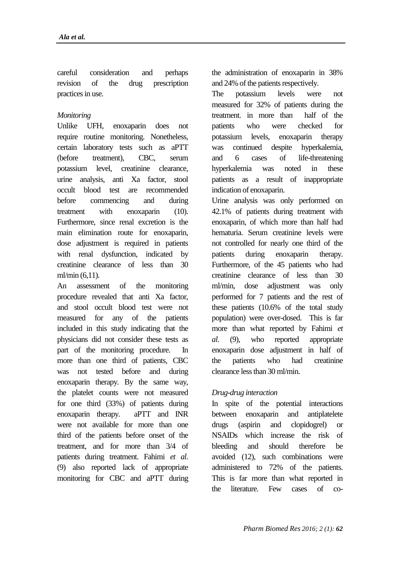careful consideration and perhaps revision of the drug prescription practices in use.

### *Monitoring*

Unlike UFH, enoxaparin does not require routine monitoring. Nonetheless, certain laboratory tests such as aPTT (before treatment), CBC, serum potassium level, creatinine clearance, urine analysis, anti Xa factor, stool occult blood test are recommended before commencing and during treatment with enoxaparin (10). Furthermore, since renal excretion is the main elimination route for enoxaparin, dose adjustment is required in patients with renal dysfunction, indicated by creatinine clearance of less than 30 ml/min (6,11).

An assessment of the monitoring procedure revealed that anti Xa factor, and stool occult blood test were not measured for any of the patients included in this study indicating that the physicians did not consider these tests as part of the monitoring procedure. In more than one third of patients, CBC was not tested before and during enoxaparin therapy. By the same way, the platelet counts were not measured for one third (33%) of patients during enoxaparin therapy. aPTT and INR were not available for more than one third of the patients before onset of the treatment, and for more than 3/4 of patients during treatment. Fahimi *et al*. (9) also reported lack of appropriate monitoring for CBC and aPTT during the administration of enoxaparin in 38% and 24% of the patients respectively.

The potassium levels were not measured for 32% of patients during the treatment. in more than half of the patients who were checked for potassium levels, enoxaparin therapy was continued despite hyperkalemia, and 6 cases of life-threatening hyperkalemia was noted in these patients as a result of inappropriate indication of enoxaparin.

Urine analysis was only performed on 42.1% of patients during treatment with enoxaparin, of which more than half had hematuria. Serum creatinine levels were not controlled for nearly one third of the patients during enoxaparin therapy. Furthermore, of the 45 patients who had creatinine clearance of less than 30 ml/min, dose adjustment was only performed for 7 patients and the rest of these patients (10.6% of the total study population) were over-dosed. This is far more than what reported by Fahimi *et al*. (9), who reported appropriate enoxaparin dose adjustment in half of the patients who had creatinine clearance less than 30 ml/min.

## *Drug-drug interaction*

In spite of the potential interactions between enoxaparin and antiplatelete drugs (aspirin and clopidogrel) or NSAIDs which increase the risk of bleeding and should therefore be avoided (12), such combinations were administered to 72% of the patients. This is far more than what reported in the literature. Few cases of co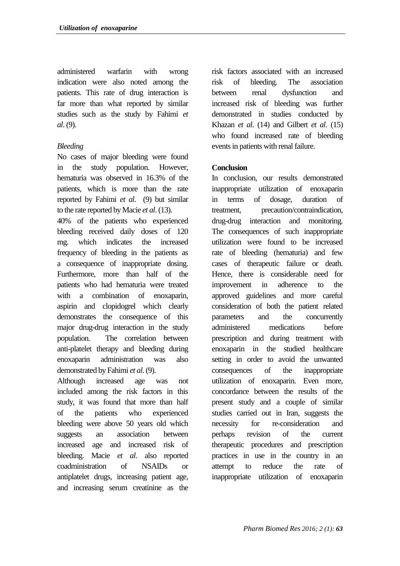administered warfarin with wrong indication were also noted among the patients. This rate of drug interaction is far more than what reported by similar studies such as the study by Fahimi *et al*. (9).

## *Bleeding*

No cases of major bleeding were found in the study population. However, hematuria was observed in 16.3% of the patients, which is more than the rate reported by Fahimi *et al*. (9) but similar to the rate reported by Macie *et al*. (13).

40% of the patients who experienced bleeding received daily doses of 120 mg. which indicates the increased frequency of bleeding in the patients as a consequence of inappropriate dosing. Furthermore, more than half of the patients who had hematuria were treated with a combination of enoxaparin, aspirin and clopidogrel which clearly demonstrates the consequence of this major drug-drug interaction in the study population. The correlation between anti-platelet therapy and bleeding during enoxaparin administration was also demonstrated by Fahimi *et al*. (9).

Although increased age was not included among the risk factors in this study, it was found that more than half of the patients who experienced bleeding were above 50 years old which suggests an association between increased age and increased risk of bleeding. Macie *et al*. also reported coadministration of NSAIDs or antiplatelet drugs, increasing patient age, and increasing serum creatinine as the risk factors associated with an increased risk of bleeding. The association between renal dysfunction and increased risk of bleeding was further demonstrated in studies conducted by Khazan *et al*. (14) and Gilbert *et al*. (15) who found increased rate of bleeding events in patients with renal failure.

## **Conclusion**

In conclusion, our results demonstrated inappropriate utilization of enoxaparin in terms of dosage, duration of treatment, precaution/contraindication, drug-drug interaction and monitoring. The consequences of such inappropriate utilization were found to be increased rate of bleeding (hematuria) and few cases of therapeutic failure or death. Hence, there is considerable need for improvement in adherence to the approved guidelines and more careful consideration of both the patient related parameters and the concurrently administered medications before prescription and during treatment with enoxaparin in the studied healthcare setting in order to avoid the unwanted consequences of the inappropriate utilization of enoxaparin. Even more, concordance between the results of the present study and a couple of similar studies carried out in Iran, suggests the necessity for re-consideration and perhaps revision of the current therapeutic procedures and prescription practices in use in the country in an attempt to reduce the rate of inappropriate utilization of enoxaparin